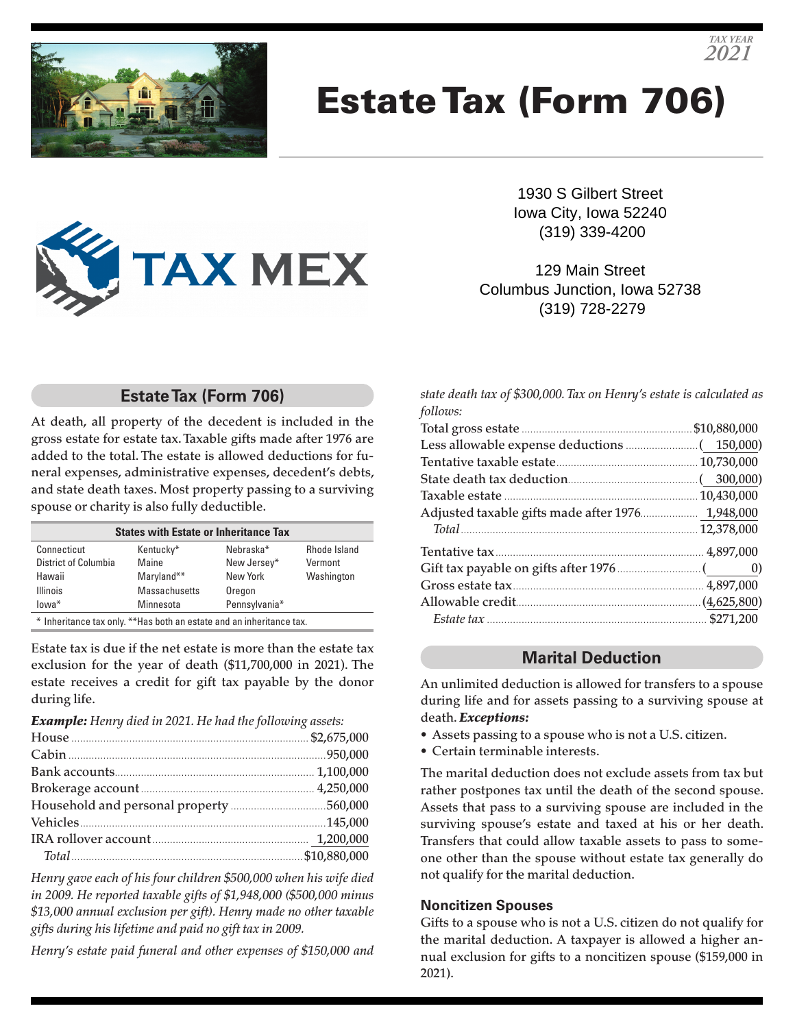

# Estate Tax (Form 706)



1930 S Gilbert Street Iowa City, Iowa 52240 (319) 339-4200

*TAX YEAR 2021*

129 Main Street Columbus Junction, Iowa 52738 (319) 728-2279

# **Estate Tax (Form 706)**

At death, all property of the decedent is included in the gross estate for estate tax. Taxable gifts made after 1976 are added to the total. The estate is allowed deductions for funeral expenses, administrative expenses, decedent's debts, and state death taxes. Most property passing to a surviving spouse or charity is also fully deductible.

| <b>States with Estate or Inheritance Tax</b>                          |               |               |              |  |
|-----------------------------------------------------------------------|---------------|---------------|--------------|--|
| Connecticut                                                           | Kentucky*     | Nebraska*     | Rhode Island |  |
| District of Columbia                                                  | Maine         | New Jersey*   | Vermont      |  |
| Hawaii                                                                | Maryland**    | New York      | Washington   |  |
| <b>Illinois</b>                                                       | Massachusetts | Oregon        |              |  |
| lowa*                                                                 | Minnesota     | Pennsylvania* |              |  |
| * Inheritance tax only. ** Has both an estate and an inheritance tax. |               |               |              |  |

Estate tax is due if the net estate is more than the estate tax exclusion for the year of death (\$11,700,000 in 2021). The estate receives a credit for gift tax payable by the donor during life.

*Example: Henry died in 2021. He had the following assets:*

*Henry gave each of his four children \$500,000 when his wife died in 2009. He reported taxable gifts of \$1,948,000 (\$500,000 minus \$13,000 annual exclusion per gift). Henry made no other taxable gifts during his lifetime and paid no gift tax in 2009.*

*Henry's estate paid funeral and other expenses of \$150,000 and* 

*state death tax of \$300,000. Tax on Henry's estate is calculated as follows:*

| Adjusted taxable gifts made after 1976 1,948,000 |  |
|--------------------------------------------------|--|
|                                                  |  |
|                                                  |  |
|                                                  |  |
|                                                  |  |
|                                                  |  |
|                                                  |  |

# **Marital Deduction**

An unlimited deduction is allowed for transfers to a spouse during life and for assets passing to a surviving spouse at death. *Exceptions:*

- Assets passing to a spouse who is not a U.S. citizen.
- Certain terminable interests.

The marital deduction does not exclude assets from tax but rather postpones tax until the death of the second spouse. Assets that pass to a surviving spouse are included in the surviving spouse's estate and taxed at his or her death. Transfers that could allow taxable assets to pass to someone other than the spouse without estate tax generally do not qualify for the marital deduction.

#### **Noncitizen Spouses**

Gifts to a spouse who is not a U.S. citizen do not qualify for the marital deduction. A taxpayer is allowed a higher annual exclusion for gifts to a noncitizen spouse (\$159,000 in 2021).